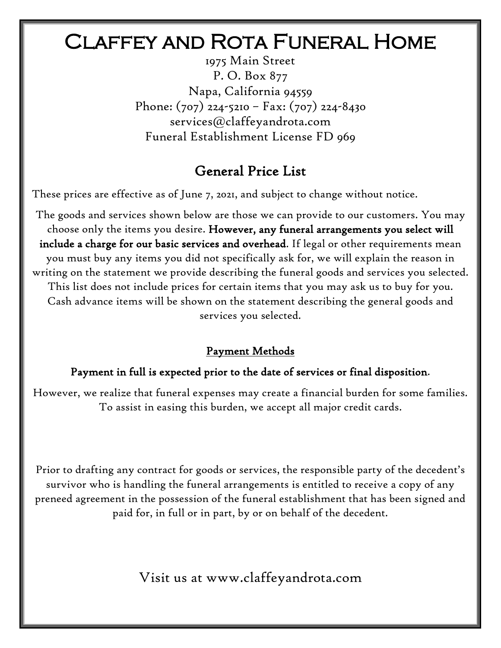# Claffey and Rota Funeral Home

1975 Main Street P. O. Box 877 Napa, California 94559 Phone: (707) 224-5210 – Fax: (707) 224-8430 services@claffeyandrota.com Funeral Establishment License FD 969

# General Price List

These prices are effective as of June 7, 2021, and subject to change without notice.

The goods and services shown below are those we can provide to our customers. You may choose only the items you desire. However, any funeral arrangements you select will include a charge for our basic services and overhead. If legal or other requirements mean you must buy any items you did not specifically ask for, we will explain the reason in writing on the statement we provide describing the funeral goods and services you selected. This list does not include prices for certain items that you may ask us to buy for you. Cash advance items will be shown on the statement describing the general goods and services you selected.

# Payment Methods

# Payment in full is expected prior to the date of services or final disposition.

However, we realize that funeral expenses may create a financial burden for some families. To assist in easing this burden, we accept all major credit cards.

Prior to drafting any contract for goods or services, the responsible party of the decedent's survivor who is handling the funeral arrangements is entitled to receive a copy of any preneed agreement in the possession of the funeral establishment that has been signed and paid for, in full or in part, by or on behalf of the decedent.

Visit us at www.claffeyandrota.com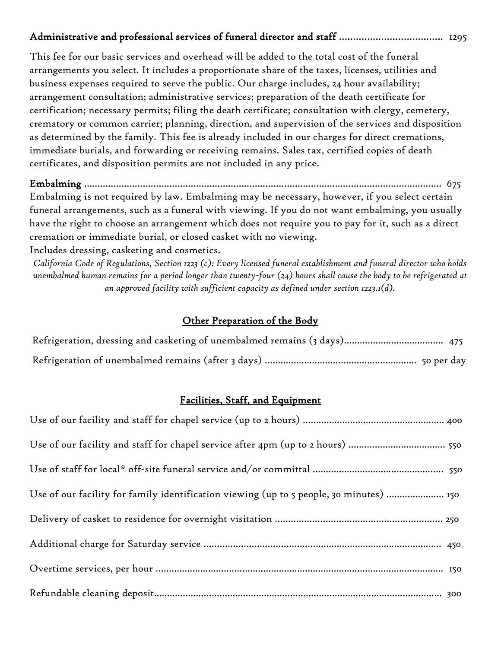### Administrative and professional services of funeral director and staff ..................................... 1295

This fee for our basic services and overhead will be added to the total cost of the funeral arrangements you select. It includes a proportionate share of the taxes, licenses, utilities and business expenses required to serve the public. Our charge includes, 24 hour availability; arrangement consultation; administrative services; preparation of the death certificate for certification; necessary permits; filing the death certificate; consultation with clergy, cemetery, crematory or common carrier; planning, direction, and supervision of the services and disposition as determined by the family. This fee is already included in our charges for direct cremations, immediate burials, and forwarding or receiving remains. Sales tax, certified copies of death certificates, and disposition permits are not included in any price.

Embalming ……………………………………………………………………………………………..……………………… 675 Embalming is not required by law. Embalming may be necessary, however, if you select certain funeral arrangements, such as a funeral with viewing. If you do not want embalming, you usually have the right to choose an arrangement which does not require you to pay for it, such as a direct cremation or immediate burial, or closed casket with no viewing.

Includes dressing, casketing and cosmetics.

*California Code of Regulations, Section 1223 (c): Every licensed funeral establishment and funeral director who holds unembalmed human remains for a period longer than twenty-four (24) hours shall cause the body to be refrigerated at an approved facility with sufficient capacity as defined under section 1223.1(d).*

#### Other Preparation of the Body

#### Facilities, Staff, and Equipment

| Use of our facility and staff for chapel service after 4pm (up to 2 hours)  550         |
|-----------------------------------------------------------------------------------------|
|                                                                                         |
| Use of our facility for family identification viewing (up to 5 people, 30 minutes)  150 |
|                                                                                         |
|                                                                                         |
|                                                                                         |
|                                                                                         |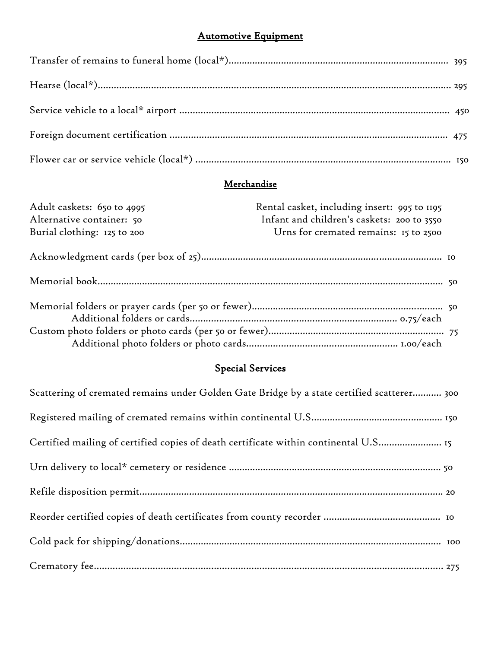# Automotive Equipment

# Merchandise

| Adult caskets: 650 to 4995  | Rental casket, including insert: 995 to 1195 |  |
|-----------------------------|----------------------------------------------|--|
| Alternative container: 50   | Infant and children's caskets: 200 to 3550   |  |
| Burial clothing: 125 to 200 | Urns for cremated remains: 15 to 2500        |  |
|                             |                                              |  |
|                             |                                              |  |
|                             |                                              |  |
|                             |                                              |  |
|                             |                                              |  |
|                             |                                              |  |

#### Special Services

| Scattering of cremated remains under Golden Gate Bridge by a state certified scatterer 300 |  |
|--------------------------------------------------------------------------------------------|--|
|                                                                                            |  |
| Certified mailing of certified copies of death certificate within continental U.S 15       |  |
|                                                                                            |  |
|                                                                                            |  |
|                                                                                            |  |
|                                                                                            |  |
|                                                                                            |  |